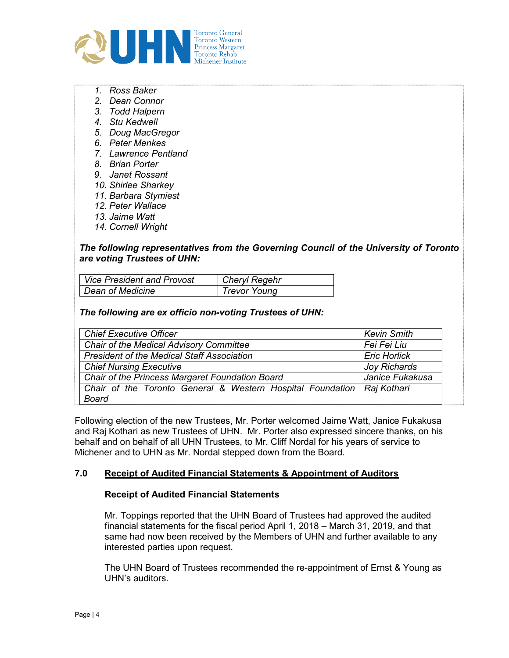

- 1. Ross Baker
- 2. Dean Connor
- 3. Todd Halpern
- 4. Stu Kedwell
- 5. Doug MacGregor
- 6. Peter Menkes
- 7. Lawrence Pentland
- 8. Brian Porter
- 9. Janet Rossant
- 10. Shirlee Sharkey
- 11. Barbara Stymiest
- 12. Peter Wallace
- 13. Jaime Watt
- 14. Cornell Wright

## The following representatives from the Governing Council of the University of Toronto are voting Trustees of UHN:

| Vice President and Provost | Cheryl Regehr |
|----------------------------|---------------|
| Dean of Medicine           | Trevor Young  |

#### The following are ex officio non-voting Trustees of UHN:

| <b>Chief Executive Officer</b>                                           | <b>Kevin Smith</b>  |
|--------------------------------------------------------------------------|---------------------|
| <b>Chair of the Medical Advisory Committee</b>                           | Fei Fei Liu         |
| <b>President of the Medical Staff Association</b>                        | <b>Eric Horlick</b> |
| <b>Chief Nursing Executive</b>                                           | <b>Joy Richards</b> |
| Chair of the Princess Margaret Foundation Board                          | Janice Fukakusa     |
| Chair of the Toronto General & Western Hospital Foundation   Raj Kothari |                     |
| <b>Board</b>                                                             |                     |

Following election of the new Trustees, Mr. Porter welcomed Jaime Watt, Janice Fukakusa and Raj Kothari as new Trustees of UHN. Mr. Porter also expressed sincere thanks, on his behalf and on behalf of all UHN Trustees, to Mr. Cliff Nordal for his years of service to Michener and to UHN as Mr. Nordal stepped down from the Board.

## 7.0 Receipt of Audited Financial Statements & Appointment of Auditors

#### Receipt of Audited Financial Statements

Mr. Toppings reported that the UHN Board of Trustees had approved the audited financial statements for the fiscal period April 1, 2018 – March 31, 2019, and that same had now been received by the Members of UHN and further available to any interested parties upon request.

The UHN Board of Trustees recommended the re-appointment of Ernst & Young as UHN's auditors.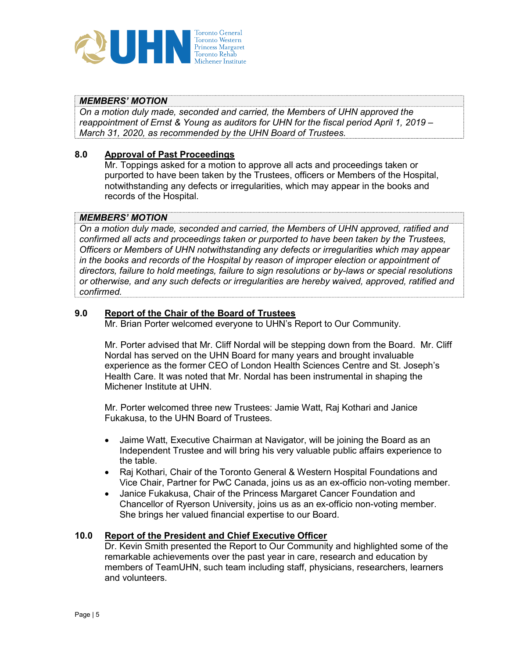

# MEMBERS' MOTION

On a motion duly made, seconded and carried, the Members of UHN approved the reappointment of Ernst & Young as auditors for UHN for the fiscal period April 1, 2019 – March 31, 2020, as recommended by the UHN Board of Trustees.

## 8.0 Approval of Past Proceedings

Mr. Toppings asked for a motion to approve all acts and proceedings taken or purported to have been taken by the Trustees, officers or Members of the Hospital, notwithstanding any defects or irregularities, which may appear in the books and records of the Hospital.

#### MEMBERS' MOTION

On a motion duly made, seconded and carried, the Members of UHN approved, ratified and confirmed all acts and proceedings taken or purported to have been taken by the Trustees, Officers or Members of UHN notwithstanding any defects or irregularities which may appear in the books and records of the Hospital by reason of improper election or appointment of directors, failure to hold meetings, failure to sign resolutions or by-laws or special resolutions or otherwise, and any such defects or irregularities are hereby waived, approved, ratified and confirmed.

## 9.0 Report of the Chair of the Board of Trustees

Mr. Brian Porter welcomed everyone to UHN's Report to Our Community.

Mr. Porter advised that Mr. Cliff Nordal will be stepping down from the Board. Mr. Cliff Nordal has served on the UHN Board for many years and brought invaluable experience as the former CEO of London Health Sciences Centre and St. Joseph's Health Care. It was noted that Mr. Nordal has been instrumental in shaping the Michener Institute at UHN.

Mr. Porter welcomed three new Trustees: Jamie Watt, Raj Kothari and Janice Fukakusa, to the UHN Board of Trustees.

- Jaime Watt, Executive Chairman at Navigator, will be joining the Board as an Independent Trustee and will bring his very valuable public affairs experience to the table.
- Raj Kothari, Chair of the Toronto General & Western Hospital Foundations and Vice Chair, Partner for PwC Canada, joins us as an ex-officio non-voting member.
- Janice Fukakusa, Chair of the Princess Margaret Cancer Foundation and Chancellor of Ryerson University, joins us as an ex-officio non-voting member. She brings her valued financial expertise to our Board.

#### 10.0 Report of the President and Chief Executive Officer

Dr. Kevin Smith presented the Report to Our Community and highlighted some of the remarkable achievements over the past year in care, research and education by members of TeamUHN, such team including staff, physicians, researchers, learners and volunteers.